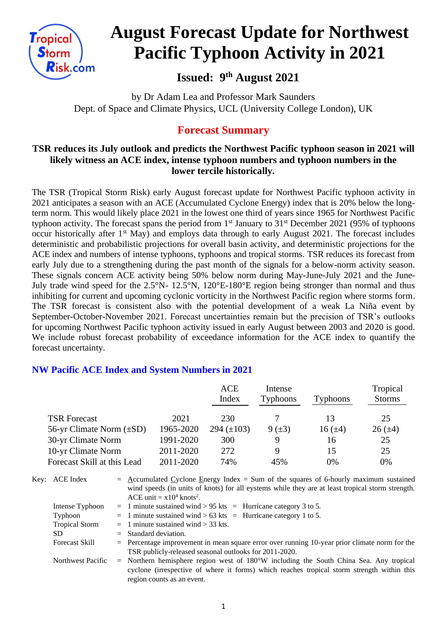

# **August Forecast Update for Northwest Pacific Typhoon Activity in 2021**

# **Issued: 9 th August 2021**

by Dr Adam Lea and Professor Mark Saunders Dept. of Space and Climate Physics, UCL (University College London), UK

## **Forecast Summary**

### **TSR reduces its July outlook and predicts the Northwest Pacific typhoon season in 2021 will likely witness an ACE index, intense typhoon numbers and typhoon numbers in the lower tercile historically.**

The TSR (Tropical Storm Risk) early August forecast update for Northwest Pacific typhoon activity in 2021 anticipates a season with an ACE (Accumulated Cyclone Energy) index that is 20% below the longterm norm. This would likely place 2021 in the lowest one third of years since 1965 for Northwest Pacific typhoon activity. The forecast spans the period from  $1<sup>st</sup>$  January to  $31<sup>st</sup>$  December 2021 (95% of typhoons occur historically after 1st May) and employs data through to early August 2021. The forecast includes deterministic and probabilistic projections for overall basin activity, and deterministic projections for the ACE index and numbers of intense typhoons, typhoons and tropical storms. TSR reduces its forecast from early July due to a strengthening during the past month of the signals for a below-norm activity season. These signals concern ACE activity being 50% below norm during May-June-July 2021 and the June-July trade wind speed for the 2.5°N- 12.5°N, 120°E-180°E region being stronger than normal and thus inhibiting for current and upcoming cyclonic vorticity in the Northwest Pacific region where storms form. The TSR forecast is consistent also with the potential development of a weak La Niña event by September-October-November 2021. Forecast uncertainties remain but the precision of TSR's outlooks for upcoming Northwest Pacific typhoon activity issued in early August between 2003 and 2020 is good. We include robust forecast probability of exceedance information for the ACE index to quantify the forecast uncertainty.

## **NW Pacific ACE Index and System Numbers in 2021**

|                               |           | ACE<br>Index    | Intense<br><b>Typhoons</b> | <b>Typhoons</b> | Tropical<br><b>Storms</b> |
|-------------------------------|-----------|-----------------|----------------------------|-----------------|---------------------------|
| <b>TSR Forecast</b>           | 2021      | 230             |                            | 13              | 25                        |
| 56-yr Climate Norm $(\pm SD)$ | 1965-2020 | 294 $(\pm 103)$ | $9 (+3)$                   | $16 (\pm 4)$    | $26 (\pm 4)$              |
| 30-yr Climate Norm            | 1991-2020 | 300             | 9                          | 16              | 25                        |
| 10-yr Climate Norm            | 2011-2020 | 272             | Q                          | 15              | 25                        |
| Forecast Skill at this Lead   | 2011-2020 | 74%             | 45%                        | 0%              | 0%                        |

| Key: ACE Index        | $=$ Accumulated Cyclone Energy Index = Sum of the squares of 6-hourly maximum sustained<br>wind speeds (in units of knots) for all eystems while they are at least tropical storm strength.<br>ACE unit = $x10^4$ knots <sup>2</sup> . |
|-----------------------|----------------------------------------------------------------------------------------------------------------------------------------------------------------------------------------------------------------------------------------|
| Intense Typhoon       | $=$ 1 minute sustained wind > 95 kts $=$ Hurricane category 3 to 5.                                                                                                                                                                    |
| Typhoon               | $=$ 1 minute sustained wind > 63 kts = Hurricane category 1 to 5.                                                                                                                                                                      |
| <b>Tropical Storm</b> | $=$ 1 minute sustained wind $>$ 33 kts.                                                                                                                                                                                                |
| SD.                   | $=$ Standard deviation.                                                                                                                                                                                                                |
| <b>Forecast Skill</b> | $=$ Percentage improvement in mean square error over running 10-year prior climate norm for the<br>TSR publicly-released seasonal outlooks for 2011-2020.                                                                              |
| Northwest Pacific     | $=$ Northern hemisphere region west of 180°W including the South China Sea. Any tropical<br>cyclone (irrespective of where it forms) which reaches tropical storm strength within this<br>region counts as an event.                   |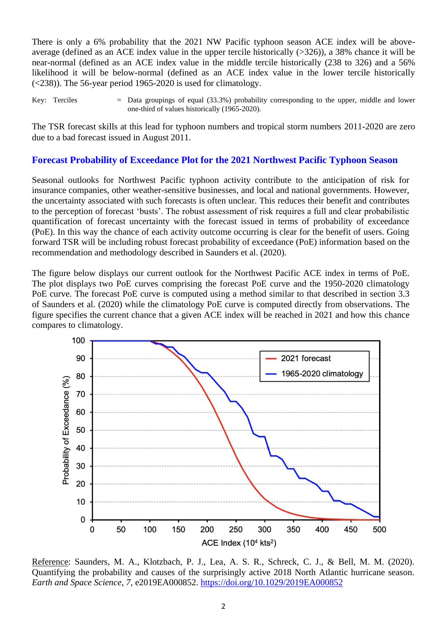There is only a 6% probability that the 2021 NW Pacific typhoon season ACE index will be aboveaverage (defined as an ACE index value in the upper tercile historically (>326)), a 38% chance it will be near-normal (defined as an ACE index value in the middle tercile historically (238 to 326) and a 56% likelihood it will be below-normal (defined as an ACE index value in the lower tercile historically (<238)). The 56-year period 1965-2020 is used for climatology.

Key: Terciles  $=$  Data groupings of equal (33.3%) probability corresponding to the upper, middle and lower one-third of values historically (1965-2020).

The TSR forecast skills at this lead for typhoon numbers and tropical storm numbers 2011-2020 are zero due to a bad forecast issued in August 2011.

#### **Forecast Probability of Exceedance Plot for the 2021 Northwest Pacific Typhoon Season**

Seasonal outlooks for Northwest Pacific typhoon activity contribute to the anticipation of risk for insurance companies, other weather-sensitive businesses, and local and national governments. However, the uncertainty associated with such forecasts is often unclear. This reduces their benefit and contributes to the perception of forecast 'busts'. The robust assessment of risk requires a full and clear probabilistic quantification of forecast uncertainty with the forecast issued in terms of probability of exceedance (PoE). In this way the chance of each activity outcome occurring is clear for the benefit of users. Going forward TSR will be including robust forecast probability of exceedance (PoE) information based on the recommendation and methodology described in Saunders et al. (2020).

The figure below displays our current outlook for the Northwest Pacific ACE index in terms of PoE. The plot displays two PoE curves comprising the forecast PoE curve and the 1950-2020 climatology PoE curve. The forecast PoE curve is computed using a method similar to that described in section 3.3 of Saunders et al. (2020) while the climatology PoE curve is computed directly from observations. The figure specifies the current chance that a given ACE index will be reached in 2021 and how this chance compares to climatology.



Reference: Saunders, M. A., Klotzbach, P. J., Lea, A. S. R., Schreck, C. J., & Bell, M. M. (2020). Quantifying the probability and causes of the surprisingly active 2018 North Atlantic hurricane season. *Earth and Space Science*, *7*, e2019EA000852.<https://doi.org/10.1029/2019EA000852>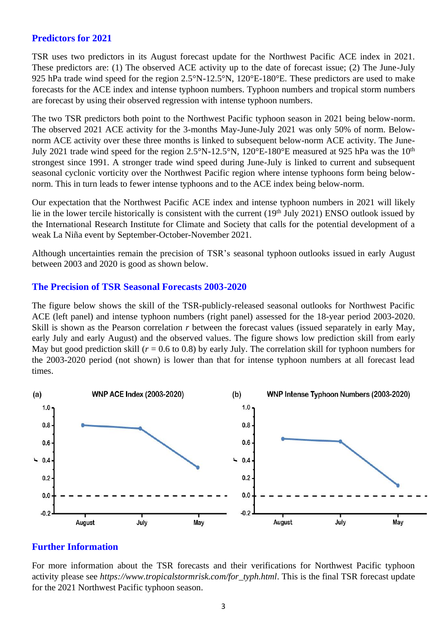#### **Predictors for 2021**

TSR uses two predictors in its August forecast update for the Northwest Pacific ACE index in 2021. These predictors are: (1) The observed ACE activity up to the date of forecast issue; (2) The June-July 925 hPa trade wind speed for the region 2.5°N-12.5°N, 120°E-180°E. These predictors are used to make forecasts for the ACE index and intense typhoon numbers. Typhoon numbers and tropical storm numbers are forecast by using their observed regression with intense typhoon numbers.

The two TSR predictors both point to the Northwest Pacific typhoon season in 2021 being below-norm. The observed 2021 ACE activity for the 3-months May-June-July 2021 was only 50% of norm. Belownorm ACE activity over these three months is linked to subsequent below-norm ACE activity. The June-July 2021 trade wind speed for the region 2.5°N-12.5°N, 120°E-180°E measured at 925 hPa was the 10<sup>th</sup> strongest since 1991. A stronger trade wind speed during June-July is linked to current and subsequent seasonal cyclonic vorticity over the Northwest Pacific region where intense typhoons form being belownorm. This in turn leads to fewer intense typhoons and to the ACE index being below-norm.

Our expectation that the Northwest Pacific ACE index and intense typhoon numbers in 2021 will likely lie in the lower tercile historically is consistent with the current (19<sup>th</sup> July 2021) ENSO outlook issued by the International Research Institute for Climate and Society that calls for the potential development of a weak La Niña event by September-October-November 2021.

Although uncertainties remain the precision of TSR's seasonal typhoon outlooks issued in early August between 2003 and 2020 is good as shown below.

#### **The Precision of TSR Seasonal Forecasts 2003-2020**

The figure below shows the skill of the TSR-publicly-released seasonal outlooks for Northwest Pacific ACE (left panel) and intense typhoon numbers (right panel) assessed for the 18-year period 2003-2020. Skill is shown as the Pearson correlation *r* between the forecast values (issued separately in early May, early July and early August) and the observed values. The figure shows low prediction skill from early May but good prediction skill ( $r = 0.6$  to 0.8) by early July. The correlation skill for typhoon numbers for the 2003-2020 period (not shown) is lower than that for intense typhoon numbers at all forecast lead times.



#### **Further Information**

For more information about the TSR forecasts and their verifications for Northwest Pacific typhoon activity please see *https://www.tropicalstormrisk.com/for\_typh.html*. This is the final TSR forecast update for the 2021 Northwest Pacific typhoon season.